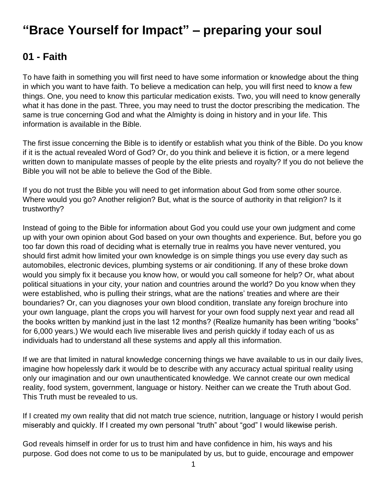# **"Brace Yourself for Impact" – preparing your soul**

# **01 - Faith**

To have faith in something you will first need to have some information or knowledge about the thing in which you want to have faith. To believe a medication can help, you will first need to know a few things. One, you need to know this particular medication exists. Two, you will need to know generally what it has done in the past. Three, you may need to trust the doctor prescribing the medication. The same is true concerning God and what the Almighty is doing in history and in your life. This information is available in the Bible.

The first issue concerning the Bible is to identify or establish what you think of the Bible. Do you know if it is the actual revealed Word of God? Or, do you think and believe it is fiction, or a mere legend written down to manipulate masses of people by the elite priests and royalty? If you do not believe the Bible you will not be able to believe the God of the Bible.

If you do not trust the Bible you will need to get information about God from some other source. Where would you go? Another religion? But, what is the source of authority in that religion? Is it trustworthy?

Instead of going to the Bible for information about God you could use your own judgment and come up with your own opinion about God based on your own thoughts and experience. But, before you go too far down this road of deciding what is eternally true in realms you have never ventured, you should first admit how limited your own knowledge is on simple things you use every day such as automobiles, electronic devices, plumbing systems or air conditioning. If any of these broke down would you simply fix it because you know how, or would you call someone for help? Or, what about political situations in your city, your nation and countries around the world? Do you know when they were established, who is pulling their strings, what are the nations' treaties and where are their boundaries? Or, can you diagnoses your own blood condition, translate any foreign brochure into your own language, plant the crops you will harvest for your own food supply next year and read all the books written by mankind just in the last 12 months? (Realize humanity has been writing "books" for 6,000 years.) We would each live miserable lives and perish quickly if today each of us as individuals had to understand all these systems and apply all this information.

If we are that limited in natural knowledge concerning things we have available to us in our daily lives, imagine how hopelessly dark it would be to describe with any accuracy actual spiritual reality using only our imagination and our own unauthenticated knowledge. We cannot create our own medical reality, food system, government, language or history. Neither can we create the Truth about God. This Truth must be revealed to us.

If I created my own reality that did not match true science, nutrition, language or history I would perish miserably and quickly. If I created my own personal "truth" about "god" I would likewise perish.

God reveals himself in order for us to trust him and have confidence in him, his ways and his purpose. God does not come to us to be manipulated by us, but to guide, encourage and empower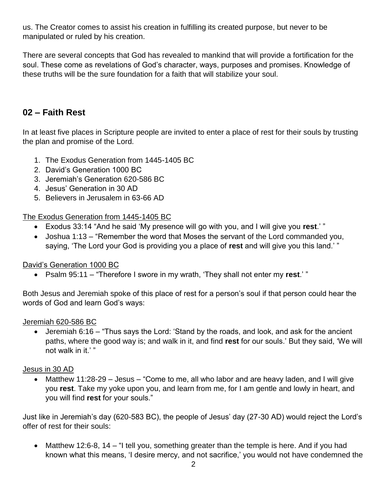us. The Creator comes to assist his creation in fulfilling its created purpose, but never to be manipulated or ruled by his creation.

There are several concepts that God has revealed to mankind that will provide a fortification for the soul. These come as revelations of God's character, ways, purposes and promises. Knowledge of these truths will be the sure foundation for a faith that will stabilize your soul.

### **02 – Faith Rest**

In at least five places in Scripture people are invited to enter a place of rest for their souls by trusting the plan and promise of the Lord.

- 1. The Exodus Generation from 1445-1405 BC
- 2. David's Generation 1000 BC
- 3. Jeremiah's Generation 620-586 BC
- 4. Jesus' Generation in 30 AD
- 5. Believers in Jerusalem in 63-66 AD

### The Exodus Generation from 1445-1405 BC

- Exodus 33:14 "And he said 'My presence will go with you, and I will give you **rest**.' "
- Joshua 1:13 "Remember the word that Moses the servant of the Lord commanded you, saying, 'The Lord your God is providing you a place of **rest** and will give you this land.' "

### David's Generation 1000 BC

Psalm 95:11 – "Therefore I swore in my wrath, 'They shall not enter my **rest**.' "

Both Jesus and Jeremiah spoke of this place of rest for a person's soul if that person could hear the words of God and learn God's ways:

### Jeremiah 620-586 BC

 Jeremiah 6:16 – "Thus says the Lord: 'Stand by the roads, and look, and ask for the ancient paths, where the good way is; and walk in it, and find **rest** for our souls.' But they said, 'We will not walk in it.' "

### Jesus in 30 AD

 Matthew 11:28-29 – Jesus – "Come to me, all who labor and are heavy laden, and I will give you **rest**. Take my yoke upon you, and learn from me, for I am gentle and lowly in heart, and you will find **rest** for your souls."

Just like in Jeremiah's day (620-583 BC), the people of Jesus' day (27-30 AD) would reject the Lord's offer of rest for their souls:

• Matthew 12:6-8, 14 – "I tell you, something greater than the temple is here. And if you had known what this means, 'I desire mercy, and not sacrifice,' you would not have condemned the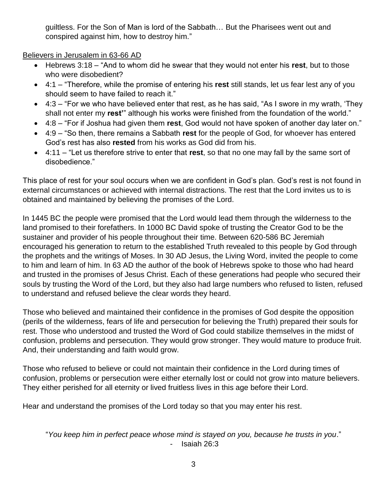guiltless. For the Son of Man is lord of the Sabbath… But the Pharisees went out and conspired against him, how to destroy him."

Believers in Jerusalem in 63-66 AD

- Hebrews 3:18 "And to whom did he swear that they would not enter his **rest**, but to those who were disobedient?
- 4:1 "Therefore, while the promise of entering his **rest** still stands, let us fear lest any of you should seem to have failed to reach it."
- 4:3 "For we who have believed enter that rest, as he has said, "As I swore in my wrath, 'They shall not enter my **rest'**" although his works were finished from the foundation of the world."
- 4:8 "For if Joshua had given them **rest**, God would not have spoken of another day later on."
- 4:9 "So then, there remains a Sabbath **rest** for the people of God, for whoever has entered God's rest has also **rested** from his works as God did from his.
- 4:11 "Let us therefore strive to enter that **rest**, so that no one may fall by the same sort of disobedience."

This place of rest for your soul occurs when we are confident in God's plan. God's rest is not found in external circumstances or achieved with internal distractions. The rest that the Lord invites us to is obtained and maintained by believing the promises of the Lord.

In 1445 BC the people were promised that the Lord would lead them through the wilderness to the land promised to their forefathers. In 1000 BC David spoke of trusting the Creator God to be the sustainer and provider of his people throughout their time. Between 620-586 BC Jeremiah encouraged his generation to return to the established Truth revealed to this people by God through the prophets and the writings of Moses. In 30 AD Jesus, the Living Word, invited the people to come to him and learn of him. In 63 AD the author of the book of Hebrews spoke to those who had heard and trusted in the promises of Jesus Christ. Each of these generations had people who secured their souls by trusting the Word of the Lord, but they also had large numbers who refused to listen, refused to understand and refused believe the clear words they heard.

Those who believed and maintained their confidence in the promises of God despite the opposition (perils of the wilderness, fears of life and persecution for believing the Truth) prepared their souls for rest. Those who understood and trusted the Word of God could stabilize themselves in the midst of confusion, problems and persecution. They would grow stronger. They would mature to produce fruit. And, their understanding and faith would grow.

Those who refused to believe or could not maintain their confidence in the Lord during times of confusion, problems or persecution were either eternally lost or could not grow into mature believers. They either perished for all eternity or lived fruitless lives in this age before their Lord.

Hear and understand the promises of the Lord today so that you may enter his rest.

"*You keep him in perfect peace whose mind is stayed on you, because he trusts in you*." - Isaiah 26:3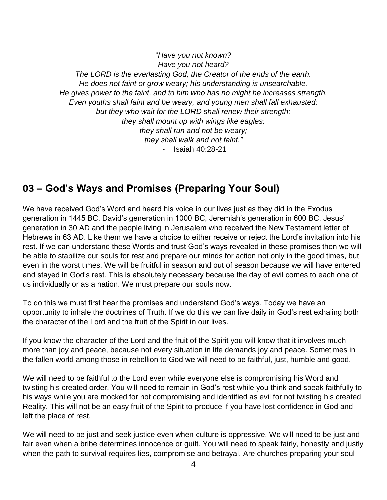"*Have you not known? Have you not heard? The LORD is the everlasting God, the Creator of the ends of the earth. He does not faint or grow weary; his understanding is unsearchable. He gives power to the faint, and to him who has no might he increases strength. Even youths shall faint and be weary, and young men shall fall exhausted; but they who wait for the LORD shall renew their strength; they shall mount up with wings like eagles; they shall run and not be weary; they shall walk and not faint."* - Isaiah 40:28-21

# **03 – God's Ways and Promises (Preparing Your Soul)**

We have received God's Word and heard his voice in our lives just as they did in the Exodus generation in 1445 BC, David's generation in 1000 BC, Jeremiah's generation in 600 BC, Jesus' generation in 30 AD and the people living in Jerusalem who received the New Testament letter of Hebrews in 63 AD. Like them we have a choice to either receive or reject the Lord's invitation into his rest. If we can understand these Words and trust God's ways revealed in these promises then we will be able to stabilize our souls for rest and prepare our minds for action not only in the good times, but even in the worst times. We will be fruitful in season and out of season because we will have entered and stayed in God's rest. This is absolutely necessary because the day of evil comes to each one of us individually or as a nation. We must prepare our souls now.

To do this we must first hear the promises and understand God's ways. Today we have an opportunity to inhale the doctrines of Truth. If we do this we can live daily in God's rest exhaling both the character of the Lord and the fruit of the Spirit in our lives.

If you know the character of the Lord and the fruit of the Spirit you will know that it involves much more than joy and peace, because not every situation in life demands joy and peace. Sometimes in the fallen world among those in rebellion to God we will need to be faithful, just, humble and good.

We will need to be faithful to the Lord even while everyone else is compromising his Word and twisting his created order. You will need to remain in God's rest while you think and speak faithfully to his ways while you are mocked for not compromising and identified as evil for not twisting his created Reality. This will not be an easy fruit of the Spirit to produce if you have lost confidence in God and left the place of rest.

We will need to be just and seek justice even when culture is oppressive. We will need to be just and fair even when a bribe determines innocence or guilt. You will need to speak fairly, honestly and justly when the path to survival requires lies, compromise and betrayal. Are churches preparing your soul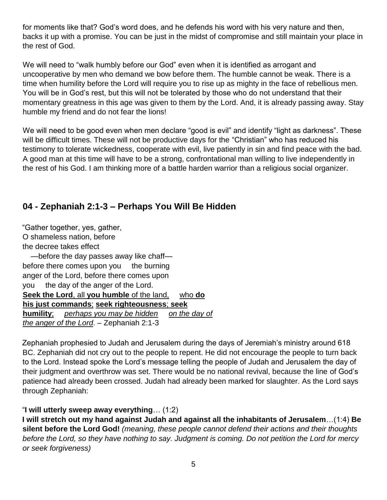for moments like that? God's word does, and he defends his word with his very nature and then, backs it up with a promise. You can be just in the midst of compromise and still maintain your place in the rest of God.

We will need to "walk humbly before our God" even when it is identified as arrogant and uncooperative by men who demand we bow before them. The humble cannot be weak. There is a time when humility before the Lord will require you to rise up as mighty in the face of rebellious men. You will be in God's rest, but this will not be tolerated by those who do not understand that their momentary greatness in this age was given to them by the Lord. And, it is already passing away. Stay humble my friend and do not fear the lions!

We will need to be good even when men declare "good is evil" and identify "light as darkness". These will be difficult times. These will not be productive days for the "Christian" who has reduced his testimony to tolerate wickedness, cooperate with evil, live patiently in sin and find peace with the bad. A good man at this time will have to be a strong, confrontational man willing to live independently in the rest of his God. I am thinking more of a battle harden warrior than a religious social organizer.

### **04 - Zephaniah 2:1-3 – Perhaps You Will Be Hidden**

"Gather together, yes, gather, O shameless nation, before the decree takes effect —before the day passes away like chaff before there comes upon you the burning anger of the Lord, before there comes upon you the day of the anger of the Lord. **Seek the Lord**, all **you humble** of the land, who **do his just commands**; **seek righteousness**; **seek humility**; *perhaps you may be hidden on the day of the anger of the Lord*. – Zephaniah 2:1-3

Zephaniah prophesied to Judah and Jerusalem during the days of Jeremiah's ministry around 618 BC. Zephaniah did not cry out to the people to repent. He did not encourage the people to turn back to the Lord. Instead spoke the Lord's message telling the people of Judah and Jerusalem the day of their judgment and overthrow was set. There would be no national revival, because the line of God's patience had already been crossed. Judah had already been marked for slaughter. As the Lord says through Zephaniah:

### "**I will utterly sweep away everything**… (1:2)

**I will stretch out my hand against Judah and against all the inhabitants of Jerusalem**…(1:4) **Be silent before the Lord God!** *(meaning, these people cannot defend their actions and their thoughts before the Lord, so they have nothing to say. Judgment is coming. Do not petition the Lord for mercy or seek forgiveness)*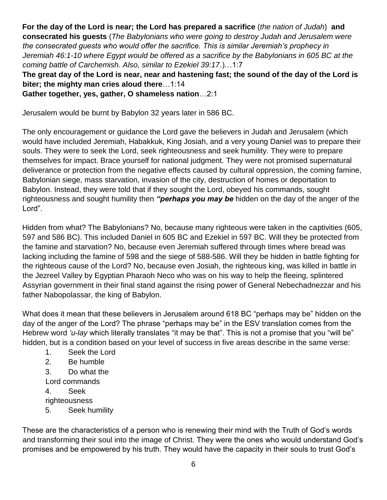**For the day of the Lord is near; the Lord has prepared a sacrifice** (*the nation of Judah*) **and consecrated his guests** (*The Babylonians who were going to destroy Judah and Jerusalem were the consecrated guests who would offer the sacrifice. This is similar Jeremiah's prophecy in Jeremiah 46:1-10 where Egypt would be offered as a sacrifice by the Babylonians in 605 BC at the coming battle of Carchemish. Also, similar to Ezekiel 39:17*.)…1:7

**The great day of the Lord is near, near and hastening fast; the sound of the day of the Lord is biter; the mighty man cries aloud there**…1:14

**Gather together, yes, gather, O shameless nation**…2:1

Jerusalem would be burnt by Babylon 32 years later in 586 BC.

The only encouragement or guidance the Lord gave the believers in Judah and Jerusalem (which would have included Jeremiah, Habakkuk, King Josiah, and a very young Daniel was to prepare their souls. They were to seek the Lord, seek righteousness and seek humility. They were to prepare themselves for impact. Brace yourself for national judgment. They were not promised supernatural deliverance or protection from the negative effects caused by cultural oppression, the coming famine, Babylonian siege, mass starvation, invasion of the city, destruction of homes or deportation to Babylon. Instead, they were told that if they sought the Lord, obeyed his commands, sought righteousness and sought humility then *"perhaps you may be* hidden on the day of the anger of the Lord".

Hidden from what? The Babylonians? No, because many righteous were taken in the captivities (605, 597 and 586 BC). This included Daniel in 605 BC and Ezekiel in 597 BC. Will they be protected from the famine and starvation? No, because even Jeremiah suffered through times where bread was lacking including the famine of 598 and the siege of 588-586. Will they be hidden in battle fighting for the righteous cause of the Lord? No, because even Josiah, the righteous king, was killed in battle in the Jezreel Valley by Egyptian Pharaoh Neco who was on his way to help the fleeing, splintered Assyrian government in their final stand against the rising power of General Nebechadnezzar and his father Nabopolassar, the king of Babylon.

What does it mean that these believers in Jerusalem around 618 BC "perhaps may be" hidden on the day of the anger of the Lord? The phrase "perhaps may be" in the ESV translation comes from the Hebrew word *'u-lay* which literally translates "it may be that". This is not a promise that you "will be" hidden, but is a condition based on your level of success in five areas describe in the same verse:

- 1. Seek the Lord
- 2. Be humble
- 3. Do what the
- Lord commands
- 4. Seek
- righteousness
- 5. Seek humility

These are the characteristics of a person who is renewing their mind with the Truth of God's words and transforming their soul into the image of Christ. They were the ones who would understand God's promises and be empowered by his truth. They would have the capacity in their souls to trust God's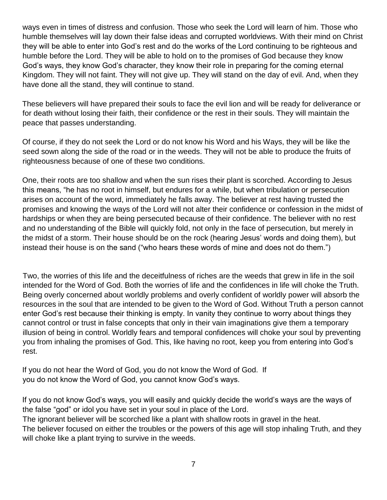ways even in times of distress and confusion. Those who seek the Lord will learn of him. Those who humble themselves will lay down their false ideas and corrupted worldviews. With their mind on Christ they will be able to enter into God's rest and do the works of the Lord continuing to be righteous and humble before the Lord. They will be able to hold on to the promises of God because they know God's ways, they know God's character, they know their role in preparing for the coming eternal Kingdom. They will not faint. They will not give up. They will stand on the day of evil. And, when they have done all the stand, they will continue to stand.

These believers will have prepared their souls to face the evil lion and will be ready for deliverance or for death without losing their faith, their confidence or the rest in their souls. They will maintain the peace that passes understanding.

Of course, if they do not seek the Lord or do not know his Word and his Ways, they will be like the seed sown along the side of the road or in the weeds. They will not be able to produce the fruits of righteousness because of one of these two conditions.

One, their roots are too shallow and when the sun rises their plant is scorched. According to Jesus this means, "he has no root in himself, but endures for a while, but when tribulation or persecution arises on account of the word, immediately he falls away. The believer at rest having trusted the promises and knowing the ways of the Lord will not alter their confidence or confession in the midst of hardships or when they are being persecuted because of their confidence. The believer with no rest and no understanding of the Bible will quickly fold, not only in the face of persecution, but merely in the midst of a storm. Their house should be on the rock (hearing Jesus' words and doing them), but instead their house is on the sand ("who hears these words of mine and does not do them.")

Two, the worries of this life and the deceitfulness of riches are the weeds that grew in life in the soil intended for the Word of God. Both the worries of life and the confidences in life will choke the Truth. Being overly concerned about worldly problems and overly confident of worldly power will absorb the resources in the soul that are intended to be given to the Word of God. Without Truth a person cannot enter God's rest because their thinking is empty. In vanity they continue to worry about things they cannot control or trust in false concepts that only in their vain imaginations give them a temporary illusion of being in control. Worldly fears and temporal confidences will choke your soul by preventing you from inhaling the promises of God. This, like having no root, keep you from entering into God's rest.

If you do not hear the Word of God, you do not know the Word of God. If you do not know the Word of God, you cannot know God's ways.

If you do not know God's ways, you will easily and quickly decide the world's ways are the ways of the false "god" or idol you have set in your soul in place of the Lord.

The ignorant believer will be scorched like a plant with shallow roots in gravel in the heat.

The believer focused on either the troubles or the powers of this age will stop inhaling Truth, and they will choke like a plant trying to survive in the weeds.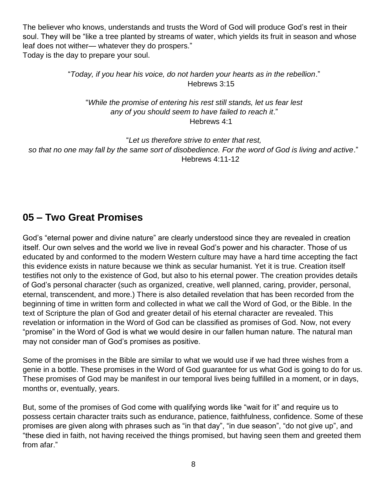The believer who knows, understands and trusts the Word of God will produce God's rest in their soul. They will be "like a tree planted by streams of water, which yields its fruit in season and whose leaf does not wither— whatever they do prospers." Today is the day to prepare your soul.

> "*Today, if you hear his voice, do not harden your hearts as in the rebellion*." Hebrews 3:15

"*While the promise of entering his rest still stands, let us fear lest any of you should seem to have failed to reach it*." Hebrews 4:1

"*Let us therefore strive to enter that rest, so that no one may fall by the same sort of disobedience. For the word of God is living and active*." Hebrews 4:11-12

# **05 – Two Great Promises**

God's "eternal power and divine nature" are clearly understood since they are revealed in creation itself. Our own selves and the world we live in reveal God's power and his character. Those of us educated by and conformed to the modern Western culture may have a hard time accepting the fact this evidence exists in nature because we think as secular humanist. Yet it is true. Creation itself testifies not only to the existence of God, but also to his eternal power. The creation provides details of God's personal character (such as organized, creative, well planned, caring, provider, personal, eternal, transcendent, and more.) There is also detailed revelation that has been recorded from the beginning of time in written form and collected in what we call the Word of God, or the Bible. In the text of Scripture the plan of God and greater detail of his eternal character are revealed. This revelation or information in the Word of God can be classified as promises of God. Now, not every "promise" in the Word of God is what we would desire in our fallen human nature. The natural man may not consider man of God's promises as positive.

Some of the promises in the Bible are similar to what we would use if we had three wishes from a genie in a bottle. These promises in the Word of God guarantee for us what God is going to do for us. These promises of God may be manifest in our temporal lives being fulfilled in a moment, or in days, months or, eventually, years.

But, some of the promises of God come with qualifying words like "wait for it" and require us to possess certain character traits such as endurance, patience, faithfulness, confidence. Some of these promises are given along with phrases such as "in that day", "in due season", "do not give up", and "these died in faith, not having received the things promised, but having seen them and greeted them from afar."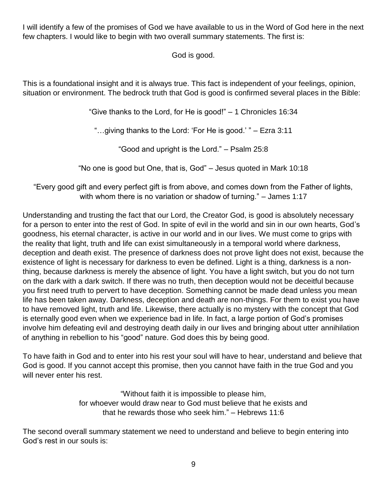I will identify a few of the promises of God we have available to us in the Word of God here in the next few chapters. I would like to begin with two overall summary statements. The first is:

God is good.

This is a foundational insight and it is always true. This fact is independent of your feelings, opinion, situation or environment. The bedrock truth that God is good is confirmed several places in the Bible:

"Give thanks to the Lord, for He is good!" – 1 Chronicles 16:34

"…giving thanks to the Lord: 'For He is good.' " – Ezra 3:11

"Good and upright is the Lord." – Psalm 25:8

"No one is good but One, that is, God" – Jesus quoted in Mark 10:18

"Every good gift and every perfect gift is from above, and comes down from the Father of lights, with whom there is no variation or shadow of turning." – James 1:17

Understanding and trusting the fact that our Lord, the Creator God, is good is absolutely necessary for a person to enter into the rest of God. In spite of evil in the world and sin in our own hearts, God's goodness, his eternal character, is active in our world and in our lives. We must come to grips with the reality that light, truth and life can exist simultaneously in a temporal world where darkness, deception and death exist. The presence of darkness does not prove light does not exist, because the existence of light is necessary for darkness to even be defined. Light is a thing, darkness is a nonthing, because darkness is merely the absence of light. You have a light switch, but you do not turn on the dark with a dark switch. If there was no truth, then deception would not be deceitful because you first need truth to pervert to have deception. Something cannot be made dead unless you mean life has been taken away. Darkness, deception and death are non-things. For them to exist you have to have removed light, truth and life. Likewise, there actually is no mystery with the concept that God is eternally good even when we experience bad in life. In fact, a large portion of God's promises involve him defeating evil and destroying death daily in our lives and bringing about utter annihilation of anything in rebellion to his "good" nature. God does this by being good.

To have faith in God and to enter into his rest your soul will have to hear, understand and believe that God is good. If you cannot accept this promise, then you cannot have faith in the true God and you will never enter his rest.

> "Without faith it is impossible to please him, for whoever would draw near to God must believe that he exists and that he rewards those who seek him." – Hebrews 11:6

The second overall summary statement we need to understand and believe to begin entering into God's rest in our souls is: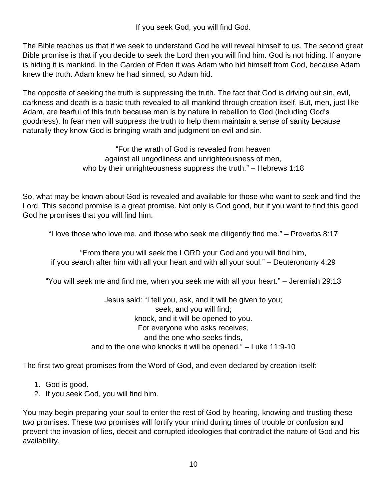If you seek God, you will find God.

The Bible teaches us that if we seek to understand God he will reveal himself to us. The second great Bible promise is that if you decide to seek the Lord then you will find him. God is not hiding. If anyone is hiding it is mankind. In the Garden of Eden it was Adam who hid himself from God, because Adam knew the truth. Adam knew he had sinned, so Adam hid.

The opposite of seeking the truth is suppressing the truth. The fact that God is driving out sin, evil, darkness and death is a basic truth revealed to all mankind through creation itself. But, men, just like Adam, are fearful of this truth because man is by nature in rebellion to God (including God's goodness). In fear men will suppress the truth to help them maintain a sense of sanity because naturally they know God is bringing wrath and judgment on evil and sin.

> "For the wrath of God is revealed from heaven against all ungodliness and unrighteousness of men, who by their unrighteousness suppress the truth." – Hebrews 1:18

So, what may be known about God is revealed and available for those who want to seek and find the Lord. This second promise is a great promise. Not only is God good, but if you want to find this good God he promises that you will find him.

"I love those who love me, and those who seek me diligently find me." – Proverbs 8:17

"From there you will seek the LORD your God and you will find him, if you search after him with all your heart and with all your soul." – Deuteronomy 4:29

"You will seek me and find me, when you seek me with all your heart." – Jeremiah 29:13

Jesus said: "I tell you, ask, and it will be given to you; seek, and you will find; knock, and it will be opened to you. For everyone who asks receives, and the one who seeks finds, and to the one who knocks it will be opened." – Luke 11:9-10

The first two great promises from the Word of God, and even declared by creation itself:

- 1. God is good.
- 2. If you seek God, you will find him.

You may begin preparing your soul to enter the rest of God by hearing, knowing and trusting these two promises. These two promises will fortify your mind during times of trouble or confusion and prevent the invasion of lies, deceit and corrupted ideologies that contradict the nature of God and his availability.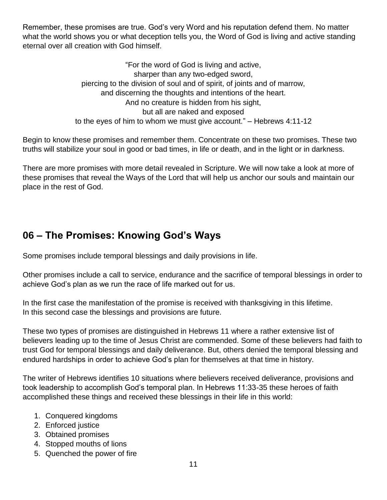Remember, these promises are true. God's very Word and his reputation defend them. No matter what the world shows you or what deception tells you, the Word of God is living and active standing eternal over all creation with God himself.

> "For the word of God is living and active, sharper than any two-edged sword, piercing to the division of soul and of spirit, of joints and of marrow, and discerning the thoughts and intentions of the heart. And no creature is hidden from his sight, but all are naked and exposed to the eyes of him to whom we must give account." – Hebrews 4:11-12

Begin to know these promises and remember them. Concentrate on these two promises. These two truths will stabilize your soul in good or bad times, in life or death, and in the light or in darkness.

There are more promises with more detail revealed in Scripture. We will now take a look at more of these promises that reveal the Ways of the Lord that will help us anchor our souls and maintain our place in the rest of God.

# **06 – The Promises: Knowing God's Ways**

Some promises include temporal blessings and daily provisions in life.

Other promises include a call to service, endurance and the sacrifice of temporal blessings in order to achieve God's plan as we run the race of life marked out for us.

In the first case the manifestation of the promise is received with thanksgiving in this lifetime. In this second case the blessings and provisions are future.

These two types of promises are distinguished in Hebrews 11 where a rather extensive list of believers leading up to the time of Jesus Christ are commended. Some of these believers had faith to trust God for temporal blessings and daily deliverance. But, others denied the temporal blessing and endured hardships in order to achieve God's plan for themselves at that time in history.

The writer of Hebrews identifies 10 situations where believers received deliverance, provisions and took leadership to accomplish God's temporal plan. In Hebrews 11:33-35 these heroes of faith accomplished these things and received these blessings in their life in this world:

- 1. Conquered kingdoms
- 2. Enforced justice
- 3. Obtained promises
- 4. Stopped mouths of lions
- 5. Quenched the power of fire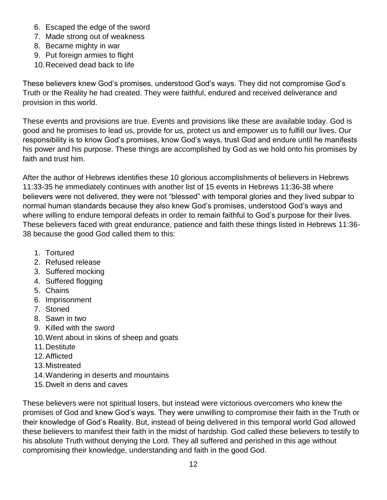- 6. Escaped the edge of the sword
- 7. Made strong out of weakness
- 8. Became mighty in war
- 9. Put foreign armies to flight
- 10.Received dead back to life

These believers knew God's promises, understood God's ways. They did not compromise God's Truth or the Reality he had created. They were faithful, endured and received deliverance and provision in this world.

These events and provisions are true. Events and provisions like these are available today. God is good and he promises to lead us, provide for us, protect us and empower us to fulfill our lives. Our responsibility is to know God's promises, know God's ways, trust God and endure until he manifests his power and his purpose. These things are accomplished by God as we hold onto his promises by faith and trust him.

After the author of Hebrews identifies these 10 glorious accomplishments of believers in Hebrews 11:33-35 he immediately continues with another list of 15 events in Hebrews 11:36-38 where believers were not delivered, they were not "blessed" with temporal glories and they lived subpar to normal human standards because they also knew God's promises, understood God's ways and where willing to endure temporal defeats in order to remain faithful to God's purpose for their lives. These believers faced with great endurance, patience and faith these things listed in Hebrews 11:36- 38 because the good God called them to this:

- 1. Tortured
- 2. Refused release
- 3. Suffered mocking
- 4. Suffered flogging
- 5. Chains
- 6. Imprisonment
- 7. Stoned
- 8. Sawn in two
- 9. Killed with the sword
- 10.Went about in skins of sheep and goats
- 11.Destitute
- 12.Afflicted
- 13.Mistreated
- 14.Wandering in deserts and mountains
- 15.Dwelt in dens and caves

These believers were not spiritual losers, but instead were victorious overcomers who knew the promises of God and knew God's ways. They were unwilling to compromise their faith in the Truth or their knowledge of God's Reality. But, instead of being delivered in this temporal world God allowed these believers to manifest their faith in the midst of hardship. God called these believers to testify to his absolute Truth without denying the Lord. They all suffered and perished in this age without compromising their knowledge, understanding and faith in the good God.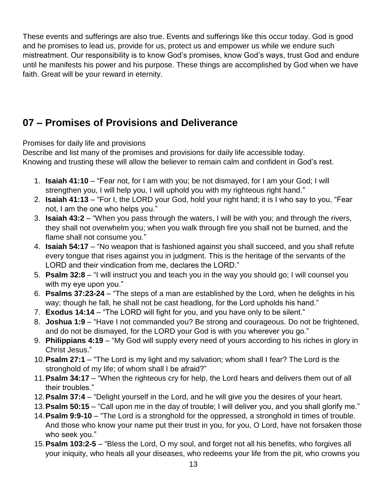These events and sufferings are also true. Events and sufferings like this occur today. God is good and he promises to lead us, provide for us, protect us and empower us while we endure such mistreatment. Our responsibility is to know God's promises, know God's ways, trust God and endure until he manifests his power and his purpose. These things are accomplished by God when we have faith. Great will be your reward in eternity.

# **07 – Promises of Provisions and Deliverance**

Promises for daily life and provisions

Describe and list many of the promises and provisions for daily life accessible today. Knowing and trusting these will allow the believer to remain calm and confident in God's rest.

- 1. **Isaiah 41:10** "Fear not, for I am with you; be not dismayed, for I am your God; I will strengthen you, I will help you, I will uphold you with my righteous right hand."
- 2. **Isaiah 41:13** "For I, the LORD your God, hold your right hand; it is I who say to you, "Fear not, I am the one who helps you."
- 3. **Isaiah 43:2** "When you pass through the waters, I will be with you; and through the rivers, they shall not overwhelm you; when you walk through fire you shall not be burned, and the flame shall not consume you."
- 4. **Isaiah 54:17** "No weapon that is fashioned against you shall succeed, and you shall refute every tongue that rises against you in judgment. This is the heritage of the servants of the LORD and their vindication from me, declares the LORD."
- 5. **Psalm 32:8** "I will instruct you and teach you in the way you should go; I will counsel you with my eye upon you."
- 6. **Psalms 37:23-24** "The steps of a man are established by the Lord, when he delights in his way; though he fall, he shall not be cast headlong, for the Lord upholds his hand."
- 7. **Exodus 14:14** "The LORD will fight for you, and you have only to be silent."
- 8. **Joshua 1:9** "Have I not commanded you? Be strong and courageous. Do not be frightened, and do not be dismayed, for the LORD your God is with you wherever you go."
- 9. **Philippians 4:19** "My God will supply every need of yours according to his riches in glory in Christ Jesus."
- 10.**Psalm 27:1** "The Lord is my light and my salvation; whom shall I fear? The Lord is the stronghold of my life; of whom shall I be afraid?"
- 11.**Psalm 34:17** "When the righteous cry for help, the Lord hears and delivers them out of all their troubles."
- 12.**Psalm 37:4** "Delight yourself in the Lord, and he will give you the desires of your heart.
- 13.**Psalm 50:15** "Call upon me in the day of trouble; I will deliver you, and you shall glorify me."
- 14.**Psalm 9:9-10** "The Lord is a stronghold for the oppressed, a stronghold in times of trouble. And those who know your name put their trust in you, for you, O Lord, have not forsaken those who seek you."
- 15.**Psalm 103:2-5** "Bless the Lord, O my soul, and forget not all his benefits, who forgives all your iniquity, who heals all your diseases, who redeems your life from the pit, who crowns you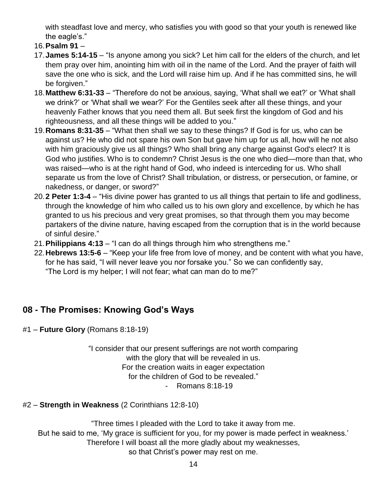with steadfast love and mercy, who satisfies you with good so that your youth is renewed like the eagle's."

- 16.**Psalm 91** –
- 17.**James 5:14-15** "Is anyone among you sick? Let him call for the elders of the church, and let them pray over him, anointing him with oil in the name of the Lord. And the prayer of faith will save the one who is sick, and the Lord will raise him up. And if he has committed sins, he will be forgiven."
- 18.**Matthew 6:31-33** "Therefore do not be anxious, saying, 'What shall we eat?' or 'What shall we drink?' or 'What shall we wear?' For the Gentiles seek after all these things, and your heavenly Father knows that you need them all. But seek first the kingdom of God and his righteousness, and all these things will be added to you."
- 19.**Romans 8:31-35** "What then shall we say to these things? If God is for us, who can be against us? He who did not spare his own Son but gave him up for us all, how will he not also with him graciously give us all things? Who shall bring any charge against God's elect? It is God who justifies. Who is to condemn? Christ Jesus is the one who died—more than that, who was raised—who is at the right hand of God, who indeed is interceding for us. Who shall separate us from the love of Christ? Shall tribulation, or distress, or persecution, or famine, or nakedness, or danger, or sword?"
- 20.**2 Peter 1:3-4** "His divine power has granted to us all things that pertain to life and godliness, through the knowledge of him who called us to his own glory and excellence, by which he has granted to us his precious and very great promises, so that through them you may become partakers of the divine nature, having escaped from the corruption that is in the world because of sinful desire."
- 21.**Philippians 4:13** "I can do all things through him who strengthens me."
- 22.**Hebrews 13:5-6** "Keep your life free from love of money, and be content with what you have, for he has said, "I will never leave you nor forsake you." So we can confidently say, "The Lord is my helper; I will not fear; what can man do to me?"

### **08 - The Promises: Knowing God's Ways**

#1 – **Future Glory** (Romans 8:18-19)

"I consider that our present sufferings are not worth comparing with the glory that will be revealed in us. For the creation waits in eager expectation for the children of God to be revealed." - Romans 8:18-19

### #2 – **Strength in Weakness** (2 Corinthians 12:8-10)

"Three times I pleaded with the Lord to take it away from me. But he said to me, 'My grace is sufficient for you, for my power is made perfect in weakness.' Therefore I will boast all the more gladly about my weaknesses, so that Christ's power may rest on me.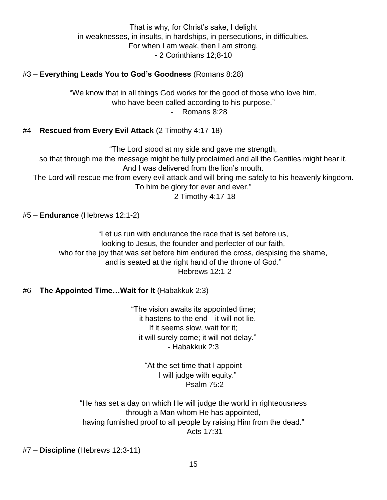That is why, for Christ's sake, I delight in weaknesses, in insults, in hardships, in persecutions, in difficulties. For when I am weak, then I am strong. - 2 Corinthians 12;8-10

### #3 – **Everything Leads You to God's Goodness** (Romans 8:28)

"We know that in all things God works for the good of those who love him, who have been called according to his purpose." - Romans 8:28

### #4 – **Rescued from Every Evil Attack** (2 Timothy 4:17-18)

"The Lord stood at my side and gave me strength, so that through me the message might be fully proclaimed and all the Gentiles might hear it. And I was delivered from the lion's mouth. The Lord will rescue me from every evil attack and will bring me safely to his heavenly kingdom. To him be glory for ever and ever." - 2 Timothy 4:17-18

#5 – **Endurance** (Hebrews 12:1-2)

"Let us run with endurance the race that is set before us, looking to Jesus, the founder and perfecter of our faith, who for the joy that was set before him endured the cross, despising the shame, and is seated at the right hand of the throne of God." - Hebrews 12:1-2

#6 – **The Appointed Time…Wait for It** (Habakkuk 2:3)

"The vision awaits its appointed time; it hastens to the end—it will not lie. If it seems slow, wait for it; it will surely come; it will not delay." - Habakkuk 2:3

> "At the set time that I appoint I will judge with equity." - Psalm 75:2

"He has set a day on which He will judge the world in righteousness through a Man whom He has appointed, having furnished proof to all people by raising Him from the dead." - Acts 17:31

#7 – **Discipline** (Hebrews 12:3-11)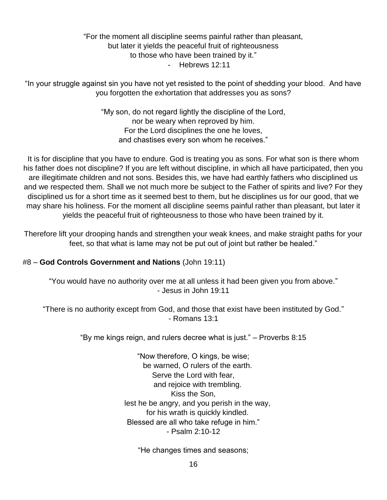### "For the moment all discipline seems painful rather than pleasant, but later it yields the peaceful fruit of righteousness to those who have been trained by it." - Hebrews 12:11

"In your struggle against sin you have not yet resisted to the point of shedding your blood. And have you forgotten the exhortation that addresses you as sons?

> "My son, do not regard lightly the discipline of the Lord, nor be weary when reproved by him. For the Lord disciplines the one he loves, and chastises every son whom he receives."

It is for discipline that you have to endure. God is treating you as sons. For what son is there whom his father does not discipline? If you are left without discipline, in which all have participated, then you are illegitimate children and not sons. Besides this, we have had earthly fathers who disciplined us and we respected them. Shall we not much more be subject to the Father of spirits and live? For they disciplined us for a short time as it seemed best to them, but he disciplines us for our good, that we may share his holiness. For the moment all discipline seems painful rather than pleasant, but later it yields the peaceful fruit of righteousness to those who have been trained by it.

Therefore lift your drooping hands and strengthen your weak knees, and make straight paths for your feet, so that what is lame may not be put out of joint but rather be healed."

### #8 – **God Controls Government and Nations** (John 19:11)

"You would have no authority over me at all unless it had been given you from above." - Jesus in John 19:11

"There is no authority except from God, and those that exist have been instituted by God." - Romans 13:1

"By me kings reign, and rulers decree what is just." – Proverbs 8:15

"Now therefore, O kings, be wise; be warned, O rulers of the earth. Serve the Lord with fear, and rejoice with trembling. Kiss the Son, lest he be angry, and you perish in the way, for his wrath is quickly kindled. Blessed are all who take refuge in him." - Psalm 2:10-12

"He changes times and seasons;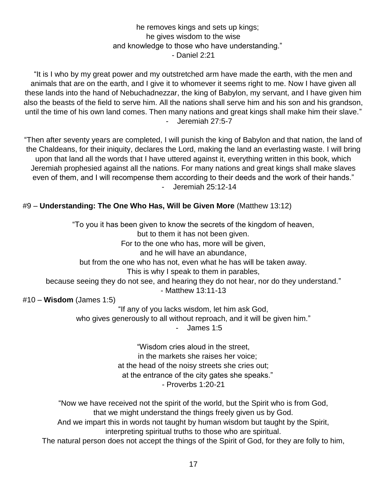### he removes kings and sets up kings; he gives wisdom to the wise and knowledge to those who have understanding." - Daniel 2:21

"It is I who by my great power and my outstretched arm have made the earth, with the men and animals that are on the earth, and I give it to whomever it seems right to me. Now I have given all these lands into the hand of Nebuchadnezzar, the king of Babylon, my servant, and I have given him also the beasts of the field to serve him. All the nations shall serve him and his son and his grandson, until the time of his own land comes. Then many nations and great kings shall make him their slave." - Jeremiah 27:5-7

"Then after seventy years are completed, I will punish the king of Babylon and that nation, the land of the Chaldeans, for their iniquity, declares the Lord, making the land an everlasting waste. I will bring upon that land all the words that I have uttered against it, everything written in this book, which Jeremiah prophesied against all the nations. For many nations and great kings shall make slaves even of them, and I will recompense them according to their deeds and the work of their hands." - Jeremiah 25:12-14

### #9 – **Understanding: The One Who Has, Will be Given More** (Matthew 13:12)

"To you it has been given to know the secrets of the kingdom of heaven, but to them it has not been given. For to the one who has, more will be given, and he will have an abundance, but from the one who has not, even what he has will be taken away. This is why I speak to them in parables, because seeing they do not see, and hearing they do not hear, nor do they understand." - Matthew 13:11-13 #10 – **Wisdom** (James 1:5)

> "If any of you lacks wisdom, let him ask God, who gives generously to all without reproach, and it will be given him."

- James 1:5

"Wisdom cries aloud in the street, in the markets she raises her voice; at the head of the noisy streets she cries out; at the entrance of the city gates she speaks." - Proverbs 1:20-21

"Now we have received not the spirit of the world, but the Spirit who is from God, that we might understand the things freely given us by God.

And we impart this in words not taught by human wisdom but taught by the Spirit, interpreting spiritual truths to those who are spiritual.

The natural person does not accept the things of the Spirit of God, for they are folly to him,